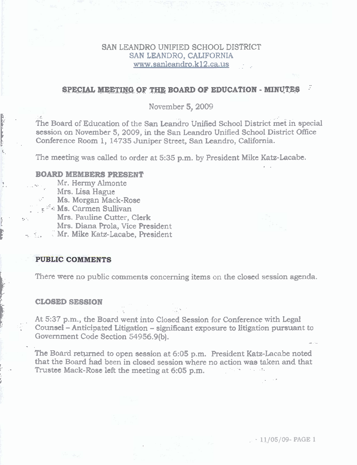## **SAN LEANDRO** UNIFIED **SCHOOL** DISTRICT **SAN** LFANDRO, **CALIFORNIA**   $www.sanleandro.k12.ca.us$

# **SPECIAL MEETING OF THE BOARD OF EDUCATION - MINUTES**

#### **November 5,2009**

**The Board of Education of the San Leandro Unified School District met in special session on November 5, 2009, in the San Leandm** Unified **School District Office Conference Room 1, 14735 Juniper Street, Sm Leandro, California.** 

**The meeting was** called **to order at 5:35 p.m. by President** Mike **Katz-Lacablt.**  . .

#### **BOARD MEMBBRS PRESENT**

- **Mr. Hermy Almonte** 
	- ' **Mrs. Lisa** Hague

I -.

**I'** -

**v** 

-.

**c.** 

- **Ms. Morgan Mack-Rose**
- - **I. +'4': Ms. Carmen Sullivan** 
	- **1'** :. **, Mrs,** Pauline Cutter, **Clerk**

**Mrs. Diana Prola, Vice President** 

. \_. **Mr. Mike Ka&-hcabe,** President

### **PUBLIC COMMENTS**

b. There **were no public comments** concerning **items** on **the** clod **session agenda.** 

#### t **CLOSED SESSION**

At 5:37 p.m., the Board went into Closed Session for Conference with Legal **Counsel – Anticipated Litigation – significant exposure to litigation pursuant to Government Code Section 54956.9(b).**  - -

**The** Board **r-e-ed to open session at 6:05 p.m. Resident Katz-Lacabe** noted **<sup>I</sup>**that the **Board** had been **in closed session where no action was taken and that i.** - **Trustee Mack-Rose left the meeting** at **6:05 p.m.** \_ Thusic Mack-Kose felt the meeting at 0.00 p.m.

, - **l1/05/09- PAGE 1**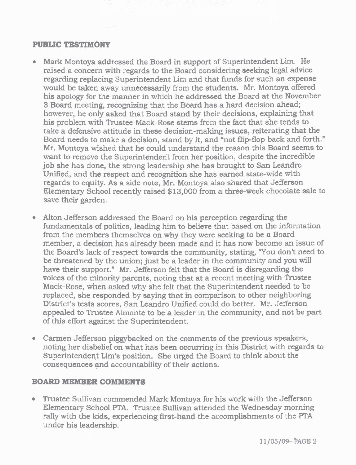# **PUBLIC TESTIMONY**

- **Mark** Montoya **addressed** the **Board in support of Superintendent Lk. He raised a concern with** regards **to the Board considering seeking** legd advice **regarding replacing Superintendent** Lim **and that funds for such an expense would be taken away unnecessarily from the students. Mr. Montoya offered his apolog** for the **manner in** which **he addressed** the Board **at the November 3 Board** meeting, **recognizing** that the **Board has a** hard **decision ahead; however,** he **only asked that Board stand by** their **decisions, explaining** that **his** problem **with Trustee Mack-Rose stems** from **the fact** that **she tends to**  take **a defensive** attitude **in these decision-making issues, reiterating that the**  Board needs to make a decision, stand by it, and "not flip-flop back and forth." **Mr. Montoya wished** that **he could understand the reason** this **Board seems to want to** remove the Superintendent **from her position, despite the** incredible **job she has done, the strong** leadership **she has** brought to **San Leandro Unified,** and **the respect** and recognition **she has earned state-wide with regards to equity. As** a **side note, Mr. Montoya also shared that Jefferson Elementary School** recently **raised \$13,000** from **a three-week** chocolate **sale to save their garden.**
- Alton Jefferson **addressed the** Board **on his perception regarding the fundamentals of politics, leading** him **to believe** that based **on the** information **from** the **members themselves on why they were seeking to be a** Board member, **a decision has** already **been made and** it **has** now become **an issue** of the **Board's lack of** respect **towards the** community, **stating,** \*You **don't need to be threatened by** the union; **just be a** leader **in the** community **and you** will **have their** support." **Mr. Jefferson** felt **that the Board is disregarding the voices of** the minority **parents,** noting **that at a recent** meeting **with** Trustee **Mack-Rose,** when **asked why she** felt that the Superintendent **needed** to **be replaced,** *she* **responded by saying** that **in** comparison **to other neighboring District's tests scores, San kandro Unified** could **do better. Mr.** Jefferson **appealed to Trustee Almonte to be a leader** in **the** community, **and not be part of this effort** against **the Superintendent.**
- **Catrntn** Jefferson **piggybacked on the comments of** the **previous speakers,**  noting her **disbelief on** what **has** been **occumng** in **this District** with **regards to Superintendent Lim's position.** She urged the Board to think about the **consequences yd accountability of their** actions.

# **BOARD MEMBER COMMENTS**

**• Trustee Sullivan commended Mark Montoya for his work with the Jefferson** Elementary **School PTA. Trustee Sullivan** attended **the Wednesday** morning **rally** with **the kids, experiencing first-hand the accomplishments of** the **PTA**  under **his leadership.**